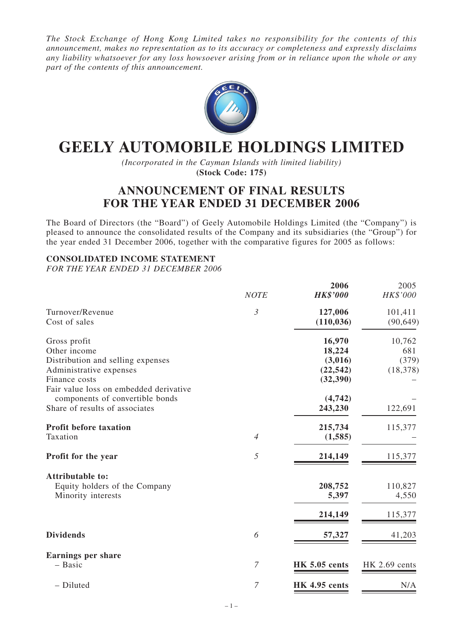*The Stock Exchange of Hong Kong Limited takes no responsibility for the contents of this announcement, makes no representation as to its accuracy or completeness and expressly disclaims any liability whatsoever for any loss howsoever arising from or in reliance upon the whole or any part of the contents of this announcement.*



# **GEELY AUTOMOBILE HOLDINGS LIMITED**

*(Incorporated in the Cayman Islands with limited liability)* **(Stock Code: 175)**

## **ANNOUNCEMENT OF FINAL RESULTS FOR THE YEAR ENDED 31 DECEMBER 2006**

The Board of Directors (the "Board") of Geely Automobile Holdings Limited (the "Company") is pleased to announce the consolidated results of the Company and its subsidiaries (the "Group") for the year ended 31 December 2006, together with the comparative figures for 2005 as follows:

### **CONSOLIDATED INCOME STATEMENT**

*FOR THE YEAR ENDED 31 DECEMBER 2006*

|                                        | <b>NOTE</b>      | 2006<br><b>HK\$'000</b> | 2005<br>HK\$'000 |
|----------------------------------------|------------------|-------------------------|------------------|
| Turnover/Revenue                       | $\mathfrak{Z}$   | 127,006                 | 101,411          |
| Cost of sales                          |                  | (110, 036)              | (90, 649)        |
| Gross profit                           |                  | 16,970                  | 10,762           |
| Other income                           |                  | 18,224                  | 681              |
| Distribution and selling expenses      |                  | (3,016)                 | (379)            |
| Administrative expenses                |                  | (22, 542)               | (18, 378)        |
| Finance costs                          |                  | (32, 390)               |                  |
| Fair value loss on embedded derivative |                  |                         |                  |
| components of convertible bonds        |                  | (4,742)                 |                  |
| Share of results of associates         |                  | 243,230                 | 122,691          |
| <b>Profit before taxation</b>          |                  | 215,734                 | 115,377          |
| Taxation                               | $\overline{4}$   | (1, 585)                |                  |
| Profit for the year                    | 5                | 214,149                 | 115,377          |
| <b>Attributable to:</b>                |                  |                         |                  |
| Equity holders of the Company          |                  | 208,752                 | 110,827          |
| Minority interests                     |                  | 5,397                   | 4,550            |
|                                        |                  | 214,149                 | 115,377          |
| <b>Dividends</b>                       | 6                | 57,327                  | 41,203           |
| <b>Earnings per share</b>              |                  |                         |                  |
| - Basic                                | $\boldsymbol{7}$ | <b>HK 5.05 cents</b>    | HK 2.69 cents    |
| - Diluted                              | $\overline{7}$   | <b>HK 4.95 cents</b>    | N/A              |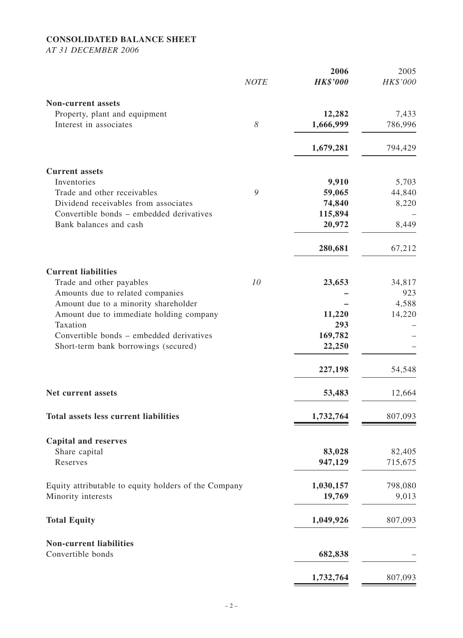## **CONSOLIDATED BALANCE SHEET**

*AT 31 DECEMBER 2006*

| <b>Non-current assets</b><br>Property, plant and equipment<br>12,282<br>Interest in associates<br>8<br>1,666,999 | 7,433<br>786,996<br>794,429 |
|------------------------------------------------------------------------------------------------------------------|-----------------------------|
|                                                                                                                  |                             |
|                                                                                                                  |                             |
|                                                                                                                  |                             |
| 1,679,281                                                                                                        |                             |
| <b>Current assets</b>                                                                                            |                             |
| Inventories<br>9,910                                                                                             | 5,703                       |
| 9<br>59,065<br>Trade and other receivables                                                                       | 44,840                      |
| Dividend receivables from associates<br>74,840                                                                   | 8,220                       |
| Convertible bonds – embedded derivatives<br>115,894                                                              |                             |
| Bank balances and cash<br>20,972                                                                                 | 8,449                       |
| 280,681                                                                                                          | 67,212                      |
| <b>Current liabilities</b>                                                                                       |                             |
| 10<br>23,653<br>Trade and other payables                                                                         | 34,817                      |
| Amounts due to related companies                                                                                 | 923                         |
| Amount due to a minority shareholder                                                                             | 4,588                       |
| 11,220<br>Amount due to immediate holding company                                                                | 14,220                      |
| Taxation<br>293                                                                                                  |                             |
| Convertible bonds – embedded derivatives<br>169,782                                                              |                             |
| 22,250<br>Short-term bank borrowings (secured)                                                                   |                             |
| 227,198                                                                                                          | 54,548                      |
| 53,483<br>Net current assets                                                                                     | 12,664                      |
| <b>Total assets less current liabilities</b><br>1,732,764                                                        | 807,093                     |
| <b>Capital and reserves</b>                                                                                      |                             |
| Share capital<br>83,028                                                                                          | 82,405                      |
| Reserves<br>947,129                                                                                              | 715,675                     |
| 1,030,157<br>Equity attributable to equity holders of the Company                                                | 798,080                     |
| Minority interests<br>19,769                                                                                     | 9,013                       |
| <b>Total Equity</b><br>1,049,926                                                                                 | 807,093                     |
| <b>Non-current liabilities</b>                                                                                   |                             |
| Convertible bonds<br>682,838                                                                                     |                             |
| 1,732,764                                                                                                        | 807,093                     |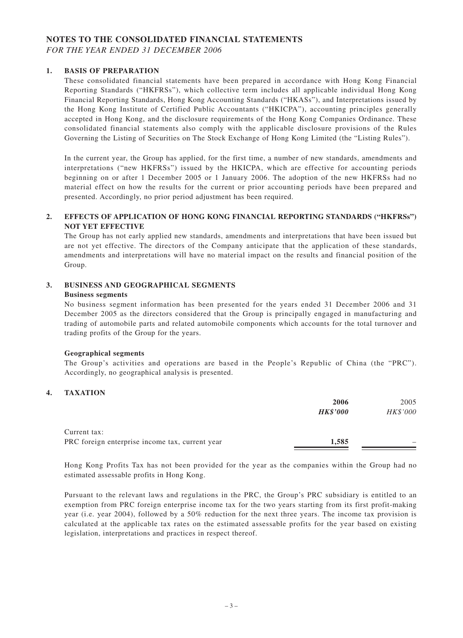#### **NOTES TO THE CONSOLIDATED FINANCIAL STATEMENTS** *FOR THE YEAR ENDED 31 DECEMBER 2006*

#### **1. BASIS OF PREPARATION**

These consolidated financial statements have been prepared in accordance with Hong Kong Financial Reporting Standards ("HKFRSs"), which collective term includes all applicable individual Hong Kong Financial Reporting Standards, Hong Kong Accounting Standards ("HKASs"), and Interpretations issued by the Hong Kong Institute of Certified Public Accountants ("HKICPA"), accounting principles generally accepted in Hong Kong, and the disclosure requirements of the Hong Kong Companies Ordinance. These consolidated financial statements also comply with the applicable disclosure provisions of the Rules Governing the Listing of Securities on The Stock Exchange of Hong Kong Limited (the "Listing Rules").

In the current year, the Group has applied, for the first time, a number of new standards, amendments and interpretations ("new HKFRSs") issued by the HKICPA, which are effective for accounting periods beginning on or after 1 December 2005 or 1 January 2006. The adoption of the new HKFRSs had no material effect on how the results for the current or prior accounting periods have been prepared and presented. Accordingly, no prior period adjustment has been required.

#### **2. EFFECTS OF APPLICATION OF HONG KONG FINANCIAL REPORTING STANDARDS ("HKFRSs") NOT YET EFFECTIVE**

The Group has not early applied new standards, amendments and interpretations that have been issued but are not yet effective. The directors of the Company anticipate that the application of these standards, amendments and interpretations will have no material impact on the results and financial position of the Group.

#### **3. BUSINESS AND GEOGRAPHICAL SEGMENTS**

#### **Business segments**

No business segment information has been presented for the years ended 31 December 2006 and 31 December 2005 as the directors considered that the Group is principally engaged in manufacturing and trading of automobile parts and related automobile components which accounts for the total turnover and trading profits of the Group for the years.

#### **Geographical segments**

The Group's activities and operations are based in the People's Republic of China (the "PRC"). Accordingly, no geographical analysis is presented.

#### **4. TAXATION**

|                                                 | 2006            | 2005     |
|-------------------------------------------------|-----------------|----------|
|                                                 | <b>HK\$'000</b> | HK\$'000 |
| Current tax:                                    |                 |          |
| PRC foreign enterprise income tax, current year | 1,585           |          |

Hong Kong Profits Tax has not been provided for the year as the companies within the Group had no estimated assessable profits in Hong Kong.

Pursuant to the relevant laws and regulations in the PRC, the Group's PRC subsidiary is entitled to an exemption from PRC foreign enterprise income tax for the two years starting from its first profit-making year (i.e. year 2004), followed by a 50% reduction for the next three years. The income tax provision is calculated at the applicable tax rates on the estimated assessable profits for the year based on existing legislation, interpretations and practices in respect thereof.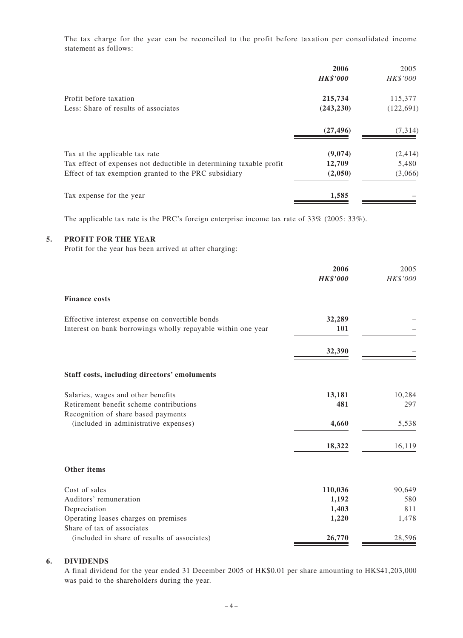The tax charge for the year can be reconciled to the profit before taxation per consolidated income statement as follows:

|                                                                     | 2006<br><b>HK\$'000</b> | 2005<br>HK\$'000 |
|---------------------------------------------------------------------|-------------------------|------------------|
| Profit before taxation                                              | 215,734                 | 115,377          |
| Less: Share of results of associates                                | (243, 230)              | (122, 691)       |
|                                                                     | (27, 496)               | (7, 314)         |
| Tax at the applicable tax rate                                      | (9,074)                 | (2, 414)         |
| Tax effect of expenses not deductible in determining taxable profit | 12,709                  | 5,480            |
| Effect of tax exemption granted to the PRC subsidiary               | (2,050)                 | (3,066)          |
| Tax expense for the year                                            | 1,585                   |                  |

The applicable tax rate is the PRC's foreign enterprise income tax rate of 33% (2005: 33%).

#### **5. PROFIT FOR THE YEAR**

Profit for the year has been arrived at after charging:

|                                                              | 2006<br><b>HK\$'000</b> | 2005<br>HK\$'000 |
|--------------------------------------------------------------|-------------------------|------------------|
| <b>Finance costs</b>                                         |                         |                  |
| Effective interest expense on convertible bonds              | 32,289                  |                  |
| Interest on bank borrowings wholly repayable within one year | 101                     |                  |
|                                                              | 32,390                  |                  |
| Staff costs, including directors' emoluments                 |                         |                  |
| Salaries, wages and other benefits                           | 13,181                  | 10,284           |
| Retirement benefit scheme contributions                      | 481                     | 297              |
| Recognition of share based payments                          |                         |                  |
| (included in administrative expenses)                        | 4,660                   | 5,538            |
|                                                              | 18,322                  | 16,119           |
| Other items                                                  |                         |                  |
| Cost of sales                                                | 110,036                 | 90,649           |
| Auditors' remuneration                                       | 1,192                   | 580              |
| Depreciation                                                 | 1,403                   | 811              |
| Operating leases charges on premises                         | 1,220                   | 1,478            |
| Share of tax of associates                                   |                         |                  |
| (included in share of results of associates)                 | 26,770                  | 28,596           |

#### **6. DIVIDENDS**

A final dividend for the year ended 31 December 2005 of HK\$0.01 per share amounting to HK\$41,203,000 was paid to the shareholders during the year.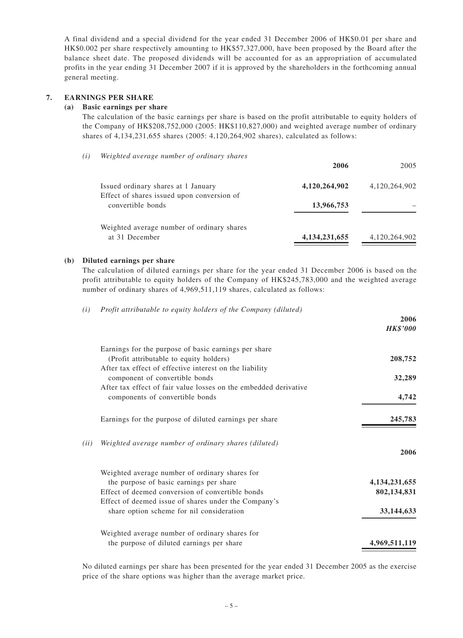A final dividend and a special dividend for the year ended 31 December 2006 of HK\$0.01 per share and HK\$0.002 per share respectively amounting to HK\$57,327,000, have been proposed by the Board after the balance sheet date. The proposed dividends will be accounted for as an appropriation of accumulated profits in the year ending 31 December 2007 if it is approved by the shareholders in the forthcoming annual general meeting.

#### **7. EARNINGS PER SHARE**

#### **(a) Basic earnings per share**

The calculation of the basic earnings per share is based on the profit attributable to equity holders of the Company of HK\$208,752,000 (2005: HK\$110,827,000) and weighted average number of ordinary shares of 4,134,231,655 shares (2005: 4,120,264,902 shares), calculated as follows:

| (i) | Weighted average number of ordinary shares                                        |                  |               |
|-----|-----------------------------------------------------------------------------------|------------------|---------------|
|     |                                                                                   | 2006             | 2005          |
|     | Issued ordinary shares at 1 January<br>Effect of shares issued upon conversion of | 4,120,264,902    | 4,120,264,902 |
|     | convertible bonds                                                                 | 13,966,753       |               |
|     | Weighted average number of ordinary shares                                        |                  |               |
|     | at 31 December                                                                    | 4, 134, 231, 655 | 4,120,264,902 |
|     |                                                                                   |                  |               |

#### **(b) Diluted earnings per share**

The calculation of diluted earnings per share for the year ended 31 December 2006 is based on the profit attributable to equity holders of the Company of HK\$245,783,000 and the weighted average number of ordinary shares of 4,969,511,119 shares, calculated as follows:

*(i) Profit attributable to equity holders of the Company (diluted)*

|      |                                                                                                          | 2006<br><b>HK\$'000</b> |
|------|----------------------------------------------------------------------------------------------------------|-------------------------|
|      | Earnings for the purpose of basic earnings per share<br>(Profit attributable to equity holders)          | 208,752                 |
|      | After tax effect of effective interest on the liability<br>component of convertible bonds                | 32,289                  |
|      | After tax effect of fair value losses on the embedded derivative<br>components of convertible bonds      | 4,742                   |
|      | Earnings for the purpose of diluted earnings per share                                                   | 245,783                 |
| (ii) | Weighted average number of ordinary shares (diluted)                                                     | 2006                    |
|      | Weighted average number of ordinary shares for                                                           |                         |
|      | the purpose of basic earnings per share                                                                  | 4, 134, 231, 655        |
|      | Effect of deemed conversion of convertible bonds<br>Effect of deemed issue of shares under the Company's | 802,134,831             |
|      | share option scheme for nil consideration                                                                | 33, 144, 633            |
|      | Weighted average number of ordinary shares for                                                           |                         |
|      | the purpose of diluted earnings per share                                                                | 4,969,511,119           |

No diluted earnings per share has been presented for the year ended 31 December 2005 as the exercise price of the share options was higher than the average market price.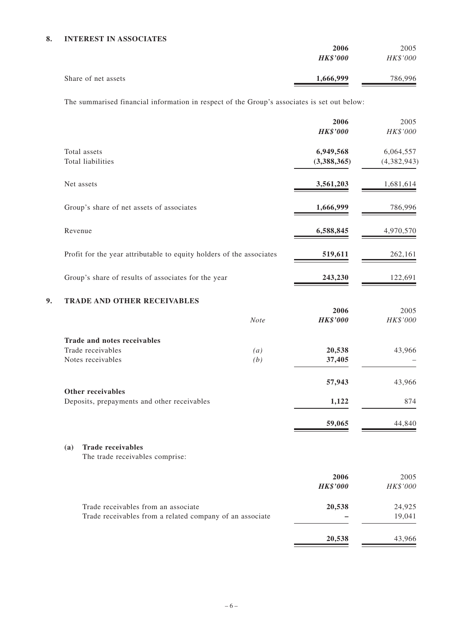|                     | 2006            | 2005     |
|---------------------|-----------------|----------|
|                     | <b>HK\$'000</b> | HK\$'000 |
| Share of net assets | 1,666,999       | 786,996  |

The summarised financial information in respect of the Group's associates is set out below:

|                                                                                                 |             | 2006<br><b>HK\$'000</b>  | 2005<br>HK\$'000           |
|-------------------------------------------------------------------------------------------------|-------------|--------------------------|----------------------------|
| Total assets<br>Total liabilities                                                               |             | 6,949,568<br>(3,388,365) | 6,064,557<br>(4, 382, 943) |
| Net assets                                                                                      |             | 3,561,203                | 1,681,614                  |
| Group's share of net assets of associates                                                       |             | 1,666,999                | 786,996                    |
| Revenue                                                                                         |             | 6,588,845                | 4,970,570                  |
| Profit for the year attributable to equity holders of the associates                            |             | 519,611                  | 262,161                    |
| Group's share of results of associates for the year                                             |             | 243,230                  | 122,691                    |
| <b>TRADE AND OTHER RECEIVABLES</b><br>9.                                                        | <b>Note</b> | 2006<br><b>HK\$'000</b>  | 2005<br>HK\$'000           |
| Trade and notes receivables<br>Trade receivables<br>Notes receivables                           | (a)<br>(b)  | 20,538<br>37,405         | 43,966                     |
|                                                                                                 |             | 57,943                   | 43,966                     |
| Other receivables<br>Deposits, prepayments and other receivables                                |             | 1,122                    | 874                        |
|                                                                                                 |             | 59,065                   | 44,840                     |
| <b>Trade receivables</b><br>(a)<br>The trade receivables comprise:                              |             |                          |                            |
|                                                                                                 |             | 2006<br><b>HK\$'000</b>  | 2005<br>HK\$'000           |
| Trade receivables from an associate<br>Trade receivables from a related company of an associate |             | 20,538                   | 24,925<br>19,041           |
|                                                                                                 |             | 20,538                   | 43,966                     |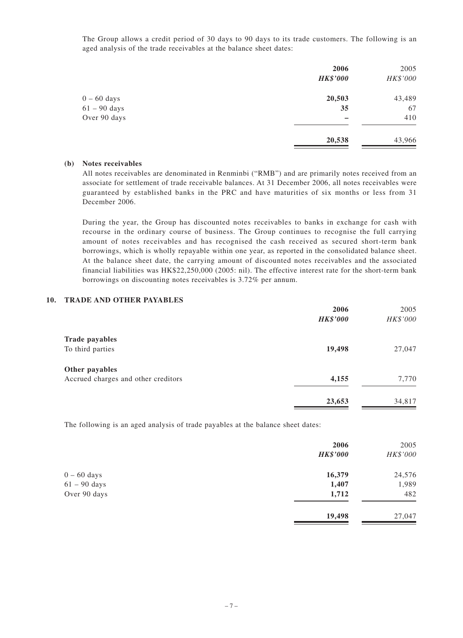The Group allows a credit period of 30 days to 90 days to its trade customers. The following is an aged analysis of the trade receivables at the balance sheet dates:

|                | 2006<br><b>HK\$'000</b> | 2005<br>HK\$'000 |
|----------------|-------------------------|------------------|
| $0 - 60$ days  | 20,503                  | 43,489           |
| $61 - 90$ days | 35                      | 67               |
| Over 90 days   |                         | 410              |
|                | 20,538                  | 43,966           |

#### **(b) Notes receivables**

All notes receivables are denominated in Renminbi ("RMB") and are primarily notes received from an associate for settlement of trade receivable balances. At 31 December 2006, all notes receivables were guaranteed by established banks in the PRC and have maturities of six months or less from 31 December 2006.

During the year, the Group has discounted notes receivables to banks in exchange for cash with recourse in the ordinary course of business. The Group continues to recognise the full carrying amount of notes receivables and has recognised the cash received as secured short-term bank borrowings, which is wholly repayable within one year, as reported in the consolidated balance sheet. At the balance sheet date, the carrying amount of discounted notes receivables and the associated financial liabilities was HK\$22,250,000 (2005: nil). The effective interest rate for the short-term bank borrowings on discounting notes receivables is 3.72% per annum.

#### **10. TRADE AND OTHER PAYABLES**

|                                     | 2006            | 2005     |
|-------------------------------------|-----------------|----------|
|                                     | <b>HK\$'000</b> | HK\$'000 |
| <b>Trade payables</b>               |                 |          |
| To third parties                    | 19,498          | 27,047   |
| Other payables                      |                 |          |
| Accrued charges and other creditors | 4,155           | 7,770    |
|                                     | 23,653          | 34,817   |

The following is an aged analysis of trade payables at the balance sheet dates:

|                | 2006            | 2005     |
|----------------|-----------------|----------|
|                | <b>HK\$'000</b> | HK\$'000 |
| $0 - 60$ days  | 16,379          | 24,576   |
| $61 - 90$ days | 1,407           | 1,989    |
| Over 90 days   | 1,712           | 482      |
|                | 19,498          | 27,047   |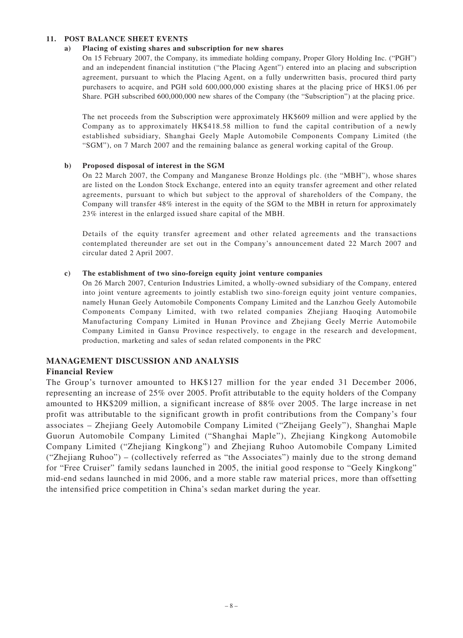#### **11. POST BALANCE SHEET EVENTS**

#### **a) Placing of existing shares and subscription for new shares**

On 15 February 2007, the Company, its immediate holding company, Proper Glory Holding Inc. ("PGH") and an independent financial institution ("the Placing Agent") entered into an placing and subscription agreement, pursuant to which the Placing Agent, on a fully underwritten basis, procured third party purchasers to acquire, and PGH sold 600,000,000 existing shares at the placing price of HK\$1.06 per Share. PGH subscribed 600,000,000 new shares of the Company (the "Subscription") at the placing price.

The net proceeds from the Subscription were approximately HK\$609 million and were applied by the Company as to approximately HK\$418.58 million to fund the capital contribution of a newly established subsidiary, Shanghai Geely Maple Automobile Components Company Limited (the "SGM"), on 7 March 2007 and the remaining balance as general working capital of the Group.

#### **b) Proposed disposal of interest in the SGM**

On 22 March 2007, the Company and Manganese Bronze Holdings plc. (the "MBH"), whose shares are listed on the London Stock Exchange, entered into an equity transfer agreement and other related agreements, pursuant to which but subject to the approval of shareholders of the Company, the Company will transfer 48% interest in the equity of the SGM to the MBH in return for approximately 23% interest in the enlarged issued share capital of the MBH.

Details of the equity transfer agreement and other related agreements and the transactions contemplated thereunder are set out in the Company's announcement dated 22 March 2007 and circular dated 2 April 2007.

#### **c) The establishment of two sino-foreign equity joint venture companies**

On 26 March 2007, Centurion Industries Limited, a wholly-owned subsidiary of the Company, entered into joint venture agreements to jointly establish two sino-foreign equity joint venture companies, namely Hunan Geely Automobile Components Company Limited and the Lanzhou Geely Automobile Components Company Limited, with two related companies Zhejiang Haoqing Automobile Manufacturing Company Limited in Hunan Province and Zhejiang Geely Merrie Automobile Company Limited in Gansu Province respectively, to engage in the research and development, production, marketing and sales of sedan related components in the PRC

#### **MANAGEMENT DISCUSSION AND ANALYSIS**

#### **Financial Review**

The Group's turnover amounted to HK\$127 million for the year ended 31 December 2006, representing an increase of 25% over 2005. Profit attributable to the equity holders of the Company amounted to HK\$209 million, a significant increase of 88% over 2005. The large increase in net profit was attributable to the significant growth in profit contributions from the Company's four associates – Zhejiang Geely Automobile Company Limited ("Zheijang Geely"), Shanghai Maple Guorun Automobile Company Limited ("Shanghai Maple"), Zhejiang Kingkong Automobile Company Limited ("Zhejiang Kingkong") and Zhejiang Ruhoo Automobile Company Limited ("Zhejiang Ruhoo") – (collectively referred as "the Associates") mainly due to the strong demand for "Free Cruiser" family sedans launched in 2005, the initial good response to "Geely Kingkong" mid-end sedans launched in mid 2006, and a more stable raw material prices, more than offsetting the intensified price competition in China's sedan market during the year.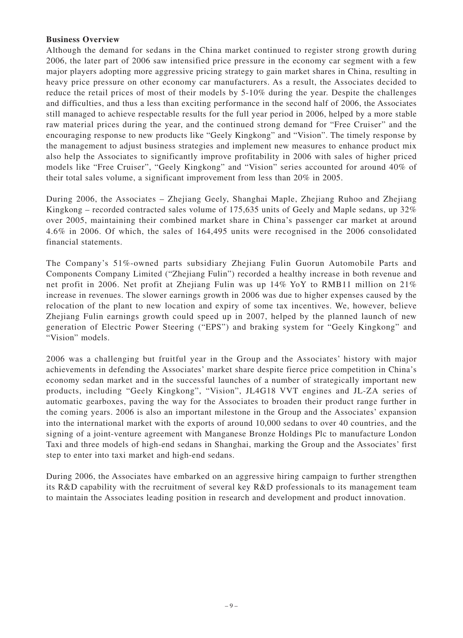## **Business Overview**

Although the demand for sedans in the China market continued to register strong growth during 2006, the later part of 2006 saw intensified price pressure in the economy car segment with a few major players adopting more aggressive pricing strategy to gain market shares in China, resulting in heavy price pressure on other economy car manufacturers. As a result, the Associates decided to reduce the retail prices of most of their models by 5-10% during the year. Despite the challenges and difficulties, and thus a less than exciting performance in the second half of 2006, the Associates still managed to achieve respectable results for the full year period in 2006, helped by a more stable raw material prices during the year, and the continued strong demand for "Free Cruiser" and the encouraging response to new products like "Geely Kingkong" and "Vision". The timely response by the management to adjust business strategies and implement new measures to enhance product mix also help the Associates to significantly improve profitability in 2006 with sales of higher priced models like "Free Cruiser", "Geely Kingkong" and "Vision" series accounted for around 40% of their total sales volume, a significant improvement from less than 20% in 2005.

During 2006, the Associates – Zhejiang Geely, Shanghai Maple, Zhejiang Ruhoo and Zhejiang Kingkong – recorded contracted sales volume of 175,635 units of Geely and Maple sedans, up 32% over 2005, maintaining their combined market share in China's passenger car market at around 4.6% in 2006. Of which, the sales of 164,495 units were recognised in the 2006 consolidated financial statements.

The Company's 51%-owned parts subsidiary Zhejiang Fulin Guorun Automobile Parts and Components Company Limited ("Zhejiang Fulin") recorded a healthy increase in both revenue and net profit in 2006. Net profit at Zhejiang Fulin was up 14% YoY to RMB11 million on 21% increase in revenues. The slower earnings growth in 2006 was due to higher expenses caused by the relocation of the plant to new location and expiry of some tax incentives. We, however, believe Zhejiang Fulin earnings growth could speed up in 2007, helped by the planned launch of new generation of Electric Power Steering ("EPS") and braking system for "Geely Kingkong" and "Vision" models.

2006 was a challenging but fruitful year in the Group and the Associates' history with major achievements in defending the Associates' market share despite fierce price competition in China's economy sedan market and in the successful launches of a number of strategically important new products, including "Geely Kingkong", "Vision", JL4G18 VVT engines and JL-ZA series of automatic gearboxes, paving the way for the Associates to broaden their product range further in the coming years. 2006 is also an important milestone in the Group and the Associates' expansion into the international market with the exports of around 10,000 sedans to over 40 countries, and the signing of a joint-venture agreement with Manganese Bronze Holdings Plc to manufacture London Taxi and three models of high-end sedans in Shanghai, marking the Group and the Associates' first step to enter into taxi market and high-end sedans.

During 2006, the Associates have embarked on an aggressive hiring campaign to further strengthen its R&D capability with the recruitment of several key R&D professionals to its management team to maintain the Associates leading position in research and development and product innovation.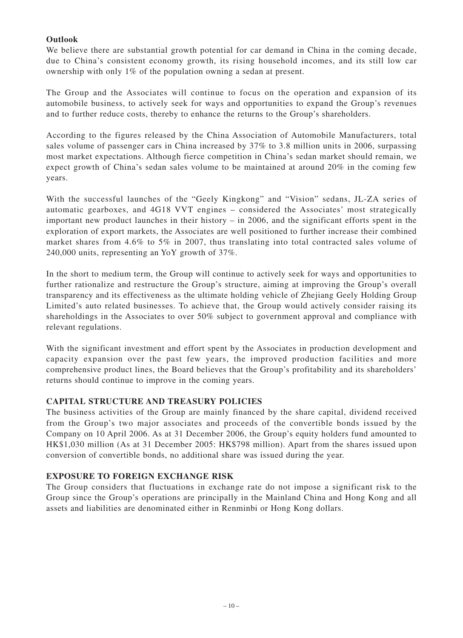## **Outlook**

We believe there are substantial growth potential for car demand in China in the coming decade, due to China's consistent economy growth, its rising household incomes, and its still low car ownership with only 1% of the population owning a sedan at present.

The Group and the Associates will continue to focus on the operation and expansion of its automobile business, to actively seek for ways and opportunities to expand the Group's revenues and to further reduce costs, thereby to enhance the returns to the Group's shareholders.

According to the figures released by the China Association of Automobile Manufacturers, total sales volume of passenger cars in China increased by 37% to 3.8 million units in 2006, surpassing most market expectations. Although fierce competition in China's sedan market should remain, we expect growth of China's sedan sales volume to be maintained at around 20% in the coming few years.

With the successful launches of the "Geely Kingkong" and "Vision" sedans, JL-ZA series of automatic gearboxes, and 4G18 VVT engines – considered the Associates' most strategically important new product launches in their history – in 2006, and the significant efforts spent in the exploration of export markets, the Associates are well positioned to further increase their combined market shares from 4.6% to 5% in 2007, thus translating into total contracted sales volume of 240,000 units, representing an YoY growth of 37%.

In the short to medium term, the Group will continue to actively seek for ways and opportunities to further rationalize and restructure the Group's structure, aiming at improving the Group's overall transparency and its effectiveness as the ultimate holding vehicle of Zhejiang Geely Holding Group Limited's auto related businesses. To achieve that, the Group would actively consider raising its shareholdings in the Associates to over 50% subject to government approval and compliance with relevant regulations.

With the significant investment and effort spent by the Associates in production development and capacity expansion over the past few years, the improved production facilities and more comprehensive product lines, the Board believes that the Group's profitability and its shareholders' returns should continue to improve in the coming years.

## **CAPITAL STRUCTURE AND TREASURY POLICIES**

The business activities of the Group are mainly financed by the share capital, dividend received from the Group's two major associates and proceeds of the convertible bonds issued by the Company on 10 April 2006. As at 31 December 2006, the Group's equity holders fund amounted to HK\$1,030 million (As at 31 December 2005: HK\$798 million). Apart from the shares issued upon conversion of convertible bonds, no additional share was issued during the year.

## **EXPOSURE TO FOREIGN EXCHANGE RISK**

The Group considers that fluctuations in exchange rate do not impose a significant risk to the Group since the Group's operations are principally in the Mainland China and Hong Kong and all assets and liabilities are denominated either in Renminbi or Hong Kong dollars.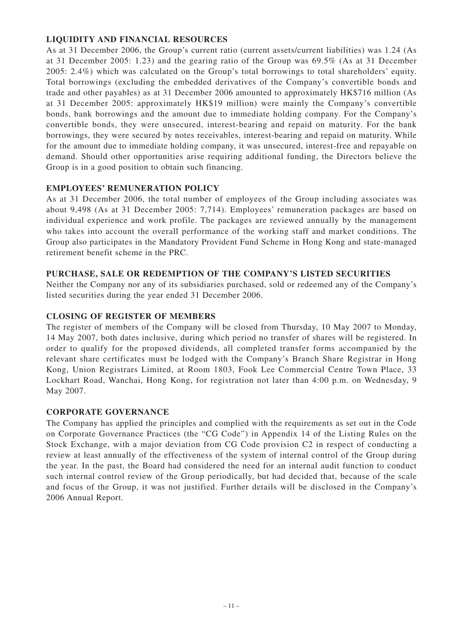## **LIQUIDITY AND FINANCIAL RESOURCES**

As at 31 December 2006, the Group's current ratio (current assets/current liabilities) was 1.24 (As at 31 December 2005: 1.23) and the gearing ratio of the Group was 69.5% (As at 31 December 2005: 2.4%) which was calculated on the Group's total borrowings to total shareholders' equity. Total borrowings (excluding the embedded derivatives of the Company's convertible bonds and trade and other payables) as at 31 December 2006 amounted to approximately HK\$716 million (As at 31 December 2005: approximately HK\$19 million) were mainly the Company's convertible bonds, bank borrowings and the amount due to immediate holding company. For the Company's convertible bonds, they were unsecured, interest-bearing and repaid on maturity. For the bank borrowings, they were secured by notes receivables, interest-bearing and repaid on maturity. While for the amount due to immediate holding company, it was unsecured, interest-free and repayable on demand. Should other opportunities arise requiring additional funding, the Directors believe the Group is in a good position to obtain such financing.

## **EMPLOYEES' REMUNERATION POLICY**

As at 31 December 2006, the total number of employees of the Group including associates was about 9,498 (As at 31 December 2005: 7,714). Employees' remuneration packages are based on individual experience and work profile. The packages are reviewed annually by the management who takes into account the overall performance of the working staff and market conditions. The Group also participates in the Mandatory Provident Fund Scheme in Hong Kong and state-managed retirement benefit scheme in the PRC.

## **PURCHASE, SALE OR REDEMPTION OF THE COMPANY'S LISTED SECURITIES**

Neither the Company nor any of its subsidiaries purchased, sold or redeemed any of the Company's listed securities during the year ended 31 December 2006.

## **CLOSING OF REGISTER OF MEMBERS**

The register of members of the Company will be closed from Thursday, 10 May 2007 to Monday, 14 May 2007, both dates inclusive, during which period no transfer of shares will be registered. In order to qualify for the proposed dividends, all completed transfer forms accompanied by the relevant share certificates must be lodged with the Company's Branch Share Registrar in Hong Kong, Union Registrars Limited, at Room 1803, Fook Lee Commercial Centre Town Place, 33 Lockhart Road, Wanchai, Hong Kong, for registration not later than 4:00 p.m. on Wednesday, 9 May 2007.

## **CORPORATE GOVERNANCE**

The Company has applied the principles and complied with the requirements as set out in the Code on Corporate Governance Practices (the "CG Code") in Appendix 14 of the Listing Rules on the Stock Exchange, with a major deviation from CG Code provision C2 in respect of conducting a review at least annually of the effectiveness of the system of internal control of the Group during the year. In the past, the Board had considered the need for an internal audit function to conduct such internal control review of the Group periodically, but had decided that, because of the scale and focus of the Group, it was not justified. Further details will be disclosed in the Company's 2006 Annual Report.